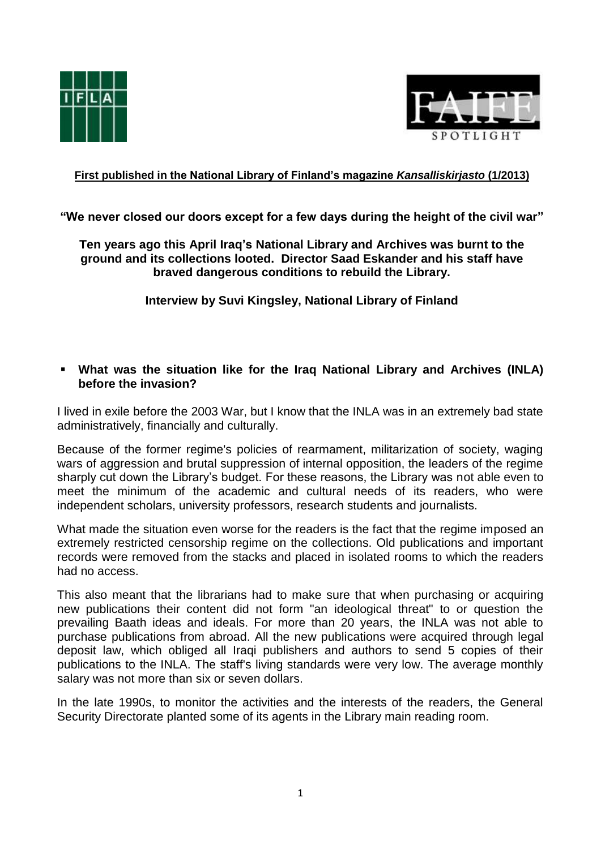



# **First published in the National Library of Finland's magazine** *Kansalliskirjasto* **(1/2013)**

**"We never closed our doors except for a few days during the height of the civil war"**

**Ten years ago this April Iraq's National Library and Archives was burnt to the ground and its collections looted. Director Saad Eskander and his staff have braved dangerous conditions to rebuild the Library.**

**Interview by Suvi Kingsley, National Library of Finland**

### **What was the situation like for the Iraq National Library and Archives (INLA) before the invasion?**

I lived in exile before the 2003 War, but I know that the INLA was in an extremely bad state administratively, financially and culturally.

Because of the former regime's policies of rearmament, militarization of society, waging wars of aggression and brutal suppression of internal opposition, the leaders of the regime sharply cut down the Library's budget. For these reasons, the Library was not able even to meet the minimum of the academic and cultural needs of its readers, who were independent scholars, university professors, research students and journalists.

What made the situation even worse for the readers is the fact that the regime imposed an extremely restricted censorship regime on the collections. Old publications and important records were removed from the stacks and placed in isolated rooms to which the readers had no access.

This also meant that the librarians had to make sure that when purchasing or acquiring new publications their content did not form "an ideological threat" to or question the prevailing Baath ideas and ideals. For more than 20 years, the INLA was not able to purchase publications from abroad. All the new publications were acquired through legal deposit law, which obliged all Iraqi publishers and authors to send 5 copies of their publications to the INLA. The staff's living standards were very low. The average monthly salary was not more than six or seven dollars.

In the late 1990s, to monitor the activities and the interests of the readers, the General Security Directorate planted some of its agents in the Library main reading room.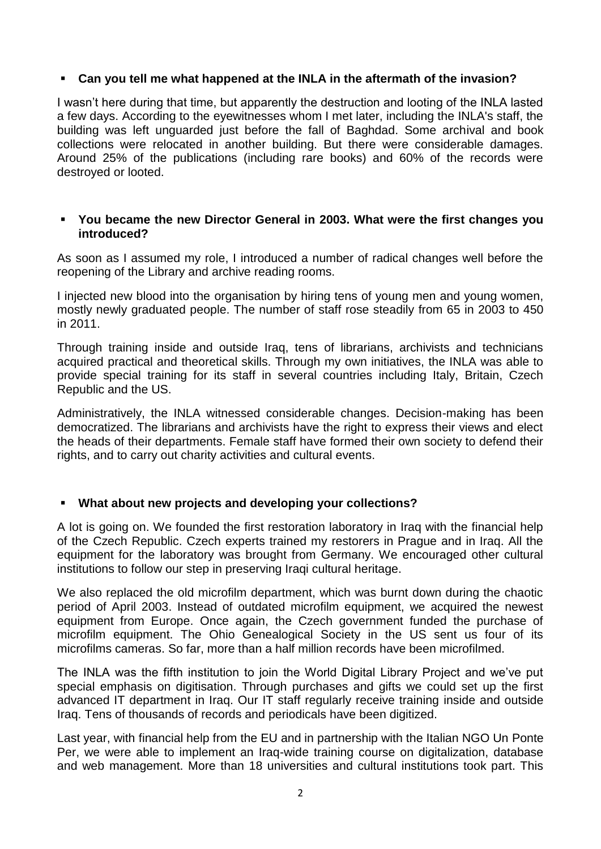## **Can you tell me what happened at the INLA in the aftermath of the invasion?**

I wasn't here during that time, but apparently the destruction and looting of the INLA lasted a few days. According to the eyewitnesses whom I met later, including the INLA's staff, the building was left unguarded just before the fall of Baghdad. Some archival and book collections were relocated in another building. But there were considerable damages. Around 25% of the publications (including rare books) and 60% of the records were destroyed or looted.

#### **You became the new Director General in 2003. What were the first changes you introduced?**

As soon as I assumed my role, I introduced a number of radical changes well before the reopening of the Library and archive reading rooms.

I injected new blood into the organisation by hiring tens of young men and young women, mostly newly graduated people. The number of staff rose steadily from 65 in 2003 to 450 in 2011.

Through training inside and outside Iraq, tens of librarians, archivists and technicians acquired practical and theoretical skills. Through my own initiatives, the INLA was able to provide special training for its staff in several countries including Italy, Britain, Czech Republic and the US.

Administratively, the INLA witnessed considerable changes. Decision-making has been democratized. The librarians and archivists have the right to express their views and elect the heads of their departments. Female staff have formed their own society to defend their rights, and to carry out charity activities and cultural events.

### **What about new projects and developing your collections?**

A lot is going on. We founded the first restoration laboratory in Iraq with the financial help of the Czech Republic. Czech experts trained my restorers in Prague and in Iraq. All the equipment for the laboratory was brought from Germany. We encouraged other cultural institutions to follow our step in preserving Iraqi cultural heritage.

We also replaced the old microfilm department, which was burnt down during the chaotic period of April 2003. Instead of outdated microfilm equipment, we acquired the newest equipment from Europe. Once again, the Czech government funded the purchase of microfilm equipment. The Ohio Genealogical Society in the US sent us four of its microfilms cameras. So far, more than a half million records have been microfilmed.

The INLA was the fifth institution to join the World Digital Library Project and we've put special emphasis on digitisation. Through purchases and gifts we could set up the first advanced IT department in Iraq. Our IT staff regularly receive training inside and outside Iraq. Tens of thousands of records and periodicals have been digitized.

Last year, with financial help from the EU and in partnership with the Italian NGO Un Ponte Per, we were able to implement an Iraq-wide training course on digitalization, database and web management. More than 18 universities and cultural institutions took part. This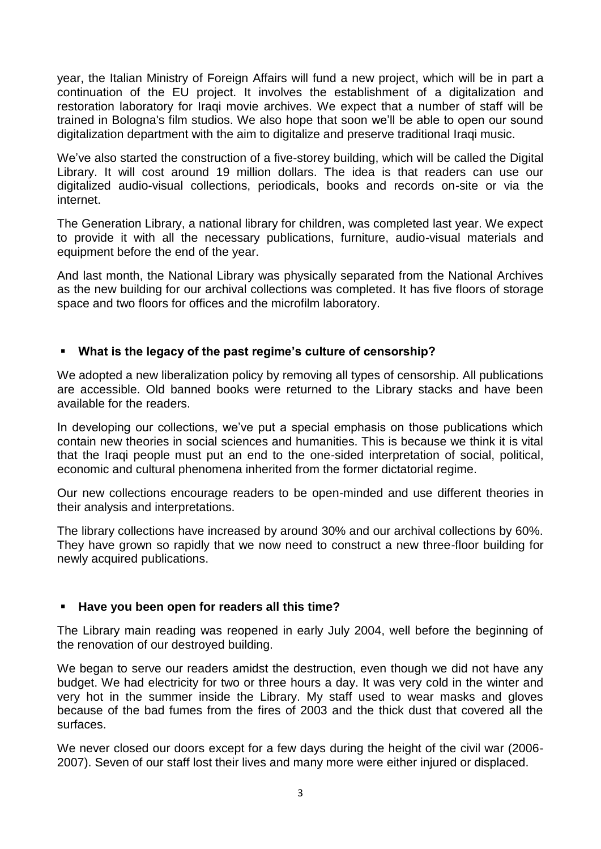year, the Italian Ministry of Foreign Affairs will fund a new project, which will be in part a continuation of the EU project. It involves the establishment of a digitalization and restoration laboratory for Iraqi movie archives. We expect that a number of staff will be trained in Bologna's film studios. We also hope that soon we'll be able to open our sound digitalization department with the aim to digitalize and preserve traditional Iraqi music.

We've also started the construction of a five-storey building, which will be called the Digital Library. It will cost around 19 million dollars. The idea is that readers can use our digitalized audio-visual collections, periodicals, books and records on-site or via the internet.

The Generation Library, a national library for children, was completed last year. We expect to provide it with all the necessary publications, furniture, audio-visual materials and equipment before the end of the year.

And last month, the National Library was physically separated from the National Archives as the new building for our archival collections was completed. It has five floors of storage space and two floors for offices and the microfilm laboratory.

# **What is the legacy of the past regime's culture of censorship?**

We adopted a new liberalization policy by removing all types of censorship. All publications are accessible. Old banned books were returned to the Library stacks and have been available for the readers.

In developing our collections, we've put a special emphasis on those publications which contain new theories in social sciences and humanities. This is because we think it is vital that the Iraqi people must put an end to the one-sided interpretation of social, political, economic and cultural phenomena inherited from the former dictatorial regime.

Our new collections encourage readers to be open-minded and use different theories in their analysis and interpretations.

The library collections have increased by around 30% and our archival collections by 60%. They have grown so rapidly that we now need to construct a new three-floor building for newly acquired publications.

### **Have you been open for readers all this time?**

The Library main reading was reopened in early July 2004, well before the beginning of the renovation of our destroyed building.

We began to serve our readers amidst the destruction, even though we did not have any budget. We had electricity for two or three hours a day. It was very cold in the winter and very hot in the summer inside the Library. My staff used to wear masks and gloves because of the bad fumes from the fires of 2003 and the thick dust that covered all the surfaces.

We never closed our doors except for a few days during the height of the civil war (2006- 2007). Seven of our staff lost their lives and many more were either injured or displaced.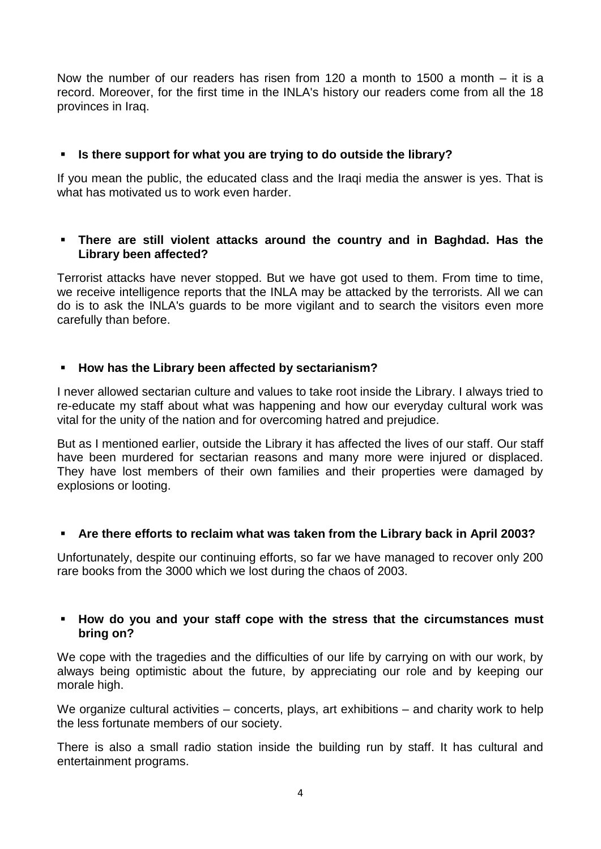Now the number of our readers has risen from 120 a month to 1500 a month – it is a record. Moreover, for the first time in the INLA's history our readers come from all the 18 provinces in Iraq.

# **Is there support for what you are trying to do outside the library?**

If you mean the public, the educated class and the Iraqi media the answer is yes. That is what has motivated us to work even harder.

## **There are still violent attacks around the country and in Baghdad. Has the Library been affected?**

Terrorist attacks have never stopped. But we have got used to them. From time to time, we receive intelligence reports that the INLA may be attacked by the terrorists. All we can do is to ask the INLA's guards to be more vigilant and to search the visitors even more carefully than before.

# **How has the Library been affected by sectarianism?**

I never allowed sectarian culture and values to take root inside the Library. I always tried to re-educate my staff about what was happening and how our everyday cultural work was vital for the unity of the nation and for overcoming hatred and prejudice.

But as I mentioned earlier, outside the Library it has affected the lives of our staff. Our staff have been murdered for sectarian reasons and many more were injured or displaced. They have lost members of their own families and their properties were damaged by explosions or looting.

### **Are there efforts to reclaim what was taken from the Library back in April 2003?**

Unfortunately, despite our continuing efforts, so far we have managed to recover only 200 rare books from the 3000 which we lost during the chaos of 2003.

### **How do you and your staff cope with the stress that the circumstances must bring on?**

We cope with the tragedies and the difficulties of our life by carrying on with our work, by always being optimistic about the future, by appreciating our role and by keeping our morale high.

We organize cultural activities – concerts, plays, art exhibitions – and charity work to help the less fortunate members of our society.

There is also a small radio station inside the building run by staff. It has cultural and entertainment programs.